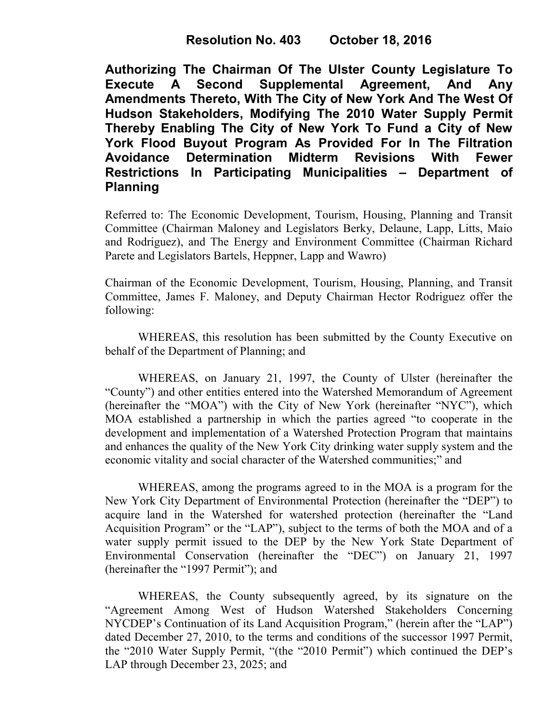**Authorizing The Chairman Of The Ulster County Legislature To Execute A Second Supplemental Agreement, And Any Amendments Thereto, With The City of New York And The West Of Hudson Stakeholders, Modifying The 2010 Water Supply Permit Thereby Enabling The City of New York To Fund a City of New York Flood Buyout Program As Provided For In The Filtration Avoidance Determination Midterm Revisions With Fewer Restrictions In Participating Municipalities – Department of Planning**

Referred to: The Economic Development, Tourism, Housing, Planning and Transit Committee (Chairman Maloney and Legislators Berky, Delaune, Lapp, Litts, Maio and Rodriguez), and The Energy and Environment Committee (Chairman Richard Parete and Legislators Bartels, Heppner, Lapp and Wawro)

Chairman of the Economic Development, Tourism, Housing, Planning, and Transit Committee, James F. Maloney, and Deputy Chairman Hector Rodriguez offer the following:

WHEREAS, this resolution has been submitted by the County Executive on behalf of the Department of Planning; and

WHEREAS, on January 21, 1997, the County of Ulster (hereinafter the "County") and other entities entered into the Watershed Memorandum of Agreement (hereinafter the "MOA") with the City of New York (hereinafter "NYC"), which MOA established a partnership in which the parties agreed "to cooperate in the development and implementation of a Watershed Protection Program that maintains and enhances the quality of the New York City drinking water supply system and the economic vitality and social character of the Watershed communities;" and

WHEREAS, among the programs agreed to in the MOA is a program for the New York City Department of Environmental Protection (hereinafter the "DEP") to acquire land in the Watershed for watershed protection (hereinafter the "Land Acquisition Program" or the "LAP"), subject to the terms of both the MOA and of a water supply permit issued to the DEP by the New York State Department of Environmental Conservation (hereinafter the "DEC") on January 21, 1997 (hereinafter the "1997 Permit"); and

 WHEREAS, the County subsequently agreed, by its signature on the "Agreement Among West of Hudson Watershed Stakeholders Concerning NYCDEP's Continuation of its Land Acquisition Program," (herein after the "LAP") dated December 27, 2010, to the terms and conditions of the successor 1997 Permit, the "2010 Water Supply Permit, "(the "2010 Permit") which continued the DEP's LAP through December 23, 2025; and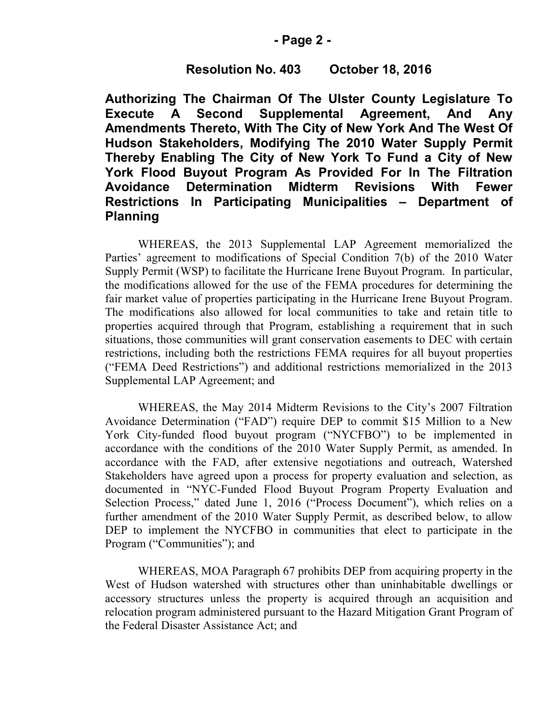### **- Page 2 -**

## **Resolution No. 403 October 18, 2016**

**Authorizing The Chairman Of The Ulster County Legislature To Execute A Second Supplemental Agreement, And Any Amendments Thereto, With The City of New York And The West Of Hudson Stakeholders, Modifying The 2010 Water Supply Permit Thereby Enabling The City of New York To Fund a City of New York Flood Buyout Program As Provided For In The Filtration Avoidance Determination Midterm Revisions With Fewer Restrictions In Participating Municipalities – Department of Planning**

WHEREAS, the 2013 Supplemental LAP Agreement memorialized the Parties' agreement to modifications of Special Condition 7(b) of the 2010 Water Supply Permit (WSP) to facilitate the Hurricane Irene Buyout Program. In particular, the modifications allowed for the use of the FEMA procedures for determining the fair market value of properties participating in the Hurricane Irene Buyout Program. The modifications also allowed for local communities to take and retain title to properties acquired through that Program, establishing a requirement that in such situations, those communities will grant conservation easements to DEC with certain restrictions, including both the restrictions FEMA requires for all buyout properties ("FEMA Deed Restrictions") and additional restrictions memorialized in the 2013 Supplemental LAP Agreement; and

WHEREAS, the May 2014 Midterm Revisions to the City's 2007 Filtration Avoidance Determination ("FAD") require DEP to commit \$15 Million to a New York City-funded flood buyout program ("NYCFBO") to be implemented in accordance with the conditions of the 2010 Water Supply Permit, as amended. In accordance with the FAD, after extensive negotiations and outreach, Watershed Stakeholders have agreed upon a process for property evaluation and selection, as documented in "NYC-Funded Flood Buyout Program Property Evaluation and Selection Process," dated June 1, 2016 ("Process Document"), which relies on a further amendment of the 2010 Water Supply Permit, as described below, to allow DEP to implement the NYCFBO in communities that elect to participate in the Program ("Communities"); and

 WHEREAS, MOA Paragraph 67 prohibits DEP from acquiring property in the West of Hudson watershed with structures other than uninhabitable dwellings or accessory structures unless the property is acquired through an acquisition and relocation program administered pursuant to the Hazard Mitigation Grant Program of the Federal Disaster Assistance Act; and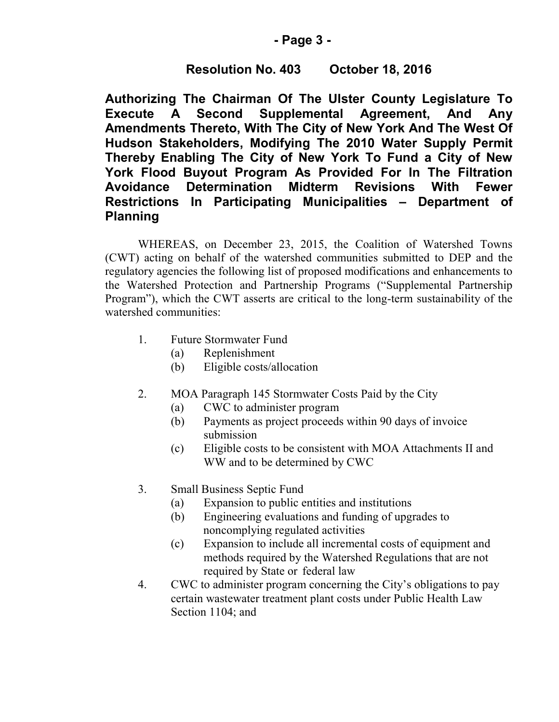## **- Page 3 -**

# **Resolution No. 403 October 18, 2016**

**Authorizing The Chairman Of The Ulster County Legislature To Execute A Second Supplemental Agreement, And Any Amendments Thereto, With The City of New York And The West Of Hudson Stakeholders, Modifying The 2010 Water Supply Permit Thereby Enabling The City of New York To Fund a City of New York Flood Buyout Program As Provided For In The Filtration Avoidance Determination Midterm Revisions With Fewer Restrictions In Participating Municipalities – Department of Planning**

WHEREAS, on December 23, 2015, the Coalition of Watershed Towns (CWT) acting on behalf of the watershed communities submitted to DEP and the regulatory agencies the following list of proposed modifications and enhancements to the Watershed Protection and Partnership Programs ("Supplemental Partnership Program"), which the CWT asserts are critical to the long-term sustainability of the watershed communities:

- 1. Future Stormwater Fund
	- (a) Replenishment
	- (b) Eligible costs/allocation
- 2. MOA Paragraph 145 Stormwater Costs Paid by the City
	- (a) CWC to administer program
	- (b) Payments as project proceeds within 90 days of invoice submission
	- (c) Eligible costs to be consistent with MOA Attachments II and WW and to be determined by CWC
- 3. Small Business Septic Fund
	- (a) Expansion to public entities and institutions
	- (b) Engineering evaluations and funding of upgrades to noncomplying regulated activities
	- (c) Expansion to include all incremental costs of equipment and methods required by the Watershed Regulations that are not required by State or federal law
- 4. CWC to administer program concerning the City's obligations to pay certain wastewater treatment plant costs under Public Health Law Section 1104; and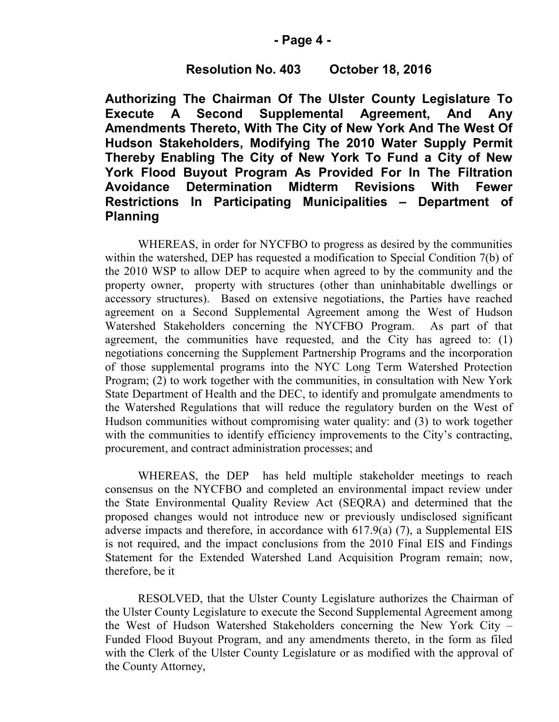### **- Page 4 -**

## **Resolution No. 403 October 18, 2016**

**Authorizing The Chairman Of The Ulster County Legislature To Execute A Second Supplemental Agreement, And Any Amendments Thereto, With The City of New York And The West Of Hudson Stakeholders, Modifying The 2010 Water Supply Permit Thereby Enabling The City of New York To Fund a City of New York Flood Buyout Program As Provided For In The Filtration Avoidance Determination Midterm Revisions With Fewer Restrictions In Participating Municipalities – Department of Planning**

WHEREAS, in order for NYCFBO to progress as desired by the communities within the watershed, DEP has requested a modification to Special Condition 7(b) of the 2010 WSP to allow DEP to acquire when agreed to by the community and the property owner, property with structures (other than uninhabitable dwellings or accessory structures). Based on extensive negotiations, the Parties have reached agreement on a Second Supplemental Agreement among the West of Hudson Watershed Stakeholders concerning the NYCFBO Program. As part of that agreement, the communities have requested, and the City has agreed to: (1) negotiations concerning the Supplement Partnership Programs and the incorporation of those supplemental programs into the NYC Long Term Watershed Protection Program; (2) to work together with the communities, in consultation with New York State Department of Health and the DEC, to identify and promulgate amendments to the Watershed Regulations that will reduce the regulatory burden on the West of Hudson communities without compromising water quality: and (3) to work together with the communities to identify efficiency improvements to the City's contracting, procurement, and contract administration processes; and

WHEREAS, the DEP has held multiple stakeholder meetings to reach consensus on the NYCFBO and completed an environmental impact review under the State Environmental Quality Review Act (SEQRA) and determined that the proposed changes would not introduce new or previously undisclosed significant adverse impacts and therefore, in accordance with 617.9(a) (7), a Supplemental EIS is not required, and the impact conclusions from the 2010 Final EIS and Findings Statement for the Extended Watershed Land Acquisition Program remain; now, therefore, be it

RESOLVED, that the Ulster County Legislature authorizes the Chairman of the Ulster County Legislature to execute the Second Supplemental Agreement among the West of Hudson Watershed Stakeholders concerning the New York City – Funded Flood Buyout Program, and any amendments thereto, in the form as filed with the Clerk of the Ulster County Legislature or as modified with the approval of the County Attorney,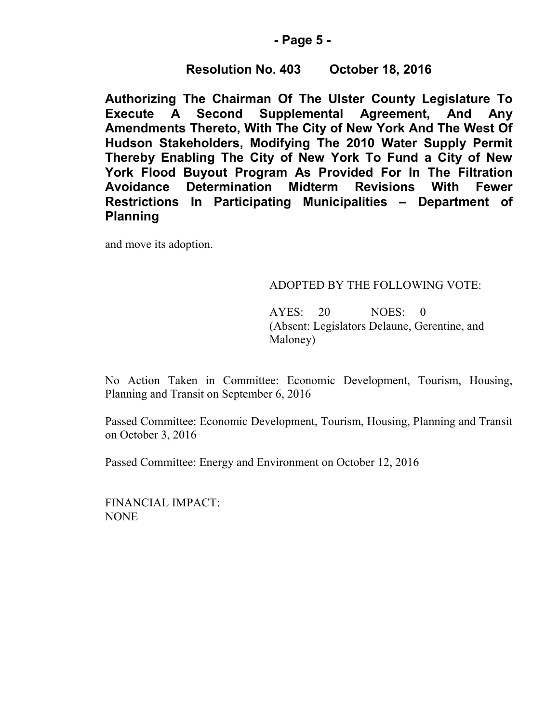### **- Page 5 -**

## **Resolution No. 403 October 18, 2016**

**Authorizing The Chairman Of The Ulster County Legislature To Execute A Second Supplemental Agreement, And Any Amendments Thereto, With The City of New York And The West Of Hudson Stakeholders, Modifying The 2010 Water Supply Permit Thereby Enabling The City of New York To Fund a City of New York Flood Buyout Program As Provided For In The Filtration Avoidance Determination Midterm Revisions With Fewer Restrictions In Participating Municipalities – Department of Planning**

and move its adoption.

### ADOPTED BY THE FOLLOWING VOTE:

AYES: 20 NOES: 0 (Absent: Legislators Delaune, Gerentine, and Maloney)

No Action Taken in Committee: Economic Development, Tourism, Housing, Planning and Transit on September 6, 2016

Passed Committee: Economic Development, Tourism, Housing, Planning and Transit on October 3, 2016

Passed Committee: Energy and Environment on October 12, 2016

FINANCIAL IMPACT: NONE